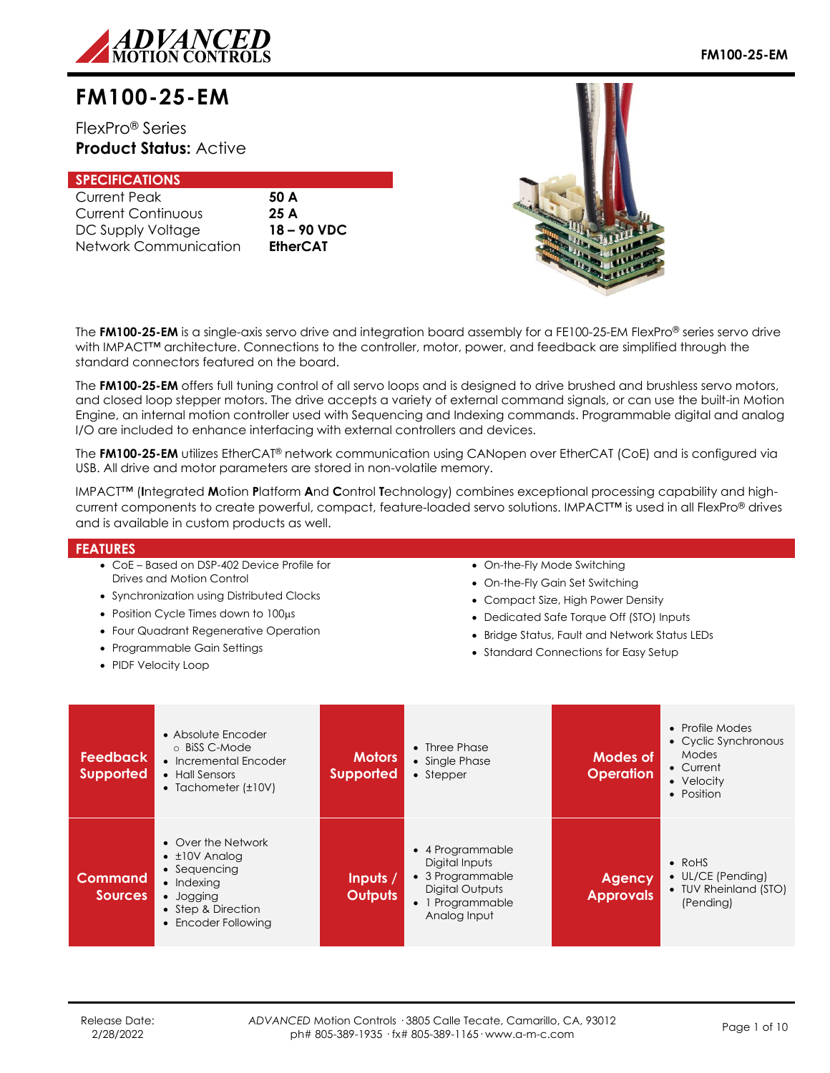

# **FM100-25-EM**

FlexPro® Series **Product Status:** Active

## **SPECIFICATIONS**

| <b>Current Peak</b>   |
|-----------------------|
| Current Continuous    |
| DC Supply Voltage     |
| Network Communication |

50 A Current Continuous **25 A** DC Supply Voltage **18 – 90 VDC** EtherCAT



The **FM100-25-EM** is a single-axis servo drive and integration board assembly for a FE100-25-EM FlexPro® series servo drive with IMPACT<sup>™</sup> architecture. Connections to the controller, motor, power, and feedback are simplified through the standard connectors featured on the board.

The **FM100-25-EM** offers full tuning control of all servo loops and is designed to drive brushed and brushless servo motors, and closed loop stepper motors. The drive accepts a variety of external command signals, or can use the built-in Motion Engine, an internal motion controller used with Sequencing and Indexing commands. Programmable digital and analog I/O are included to enhance interfacing with external controllers and devices.

The **FM100-25-EM** utilizes EtherCAT® network communication using CANopen over EtherCAT (CoE) and is configured via USB. All drive and motor parameters are stored in non-volatile memory.

IMPACT™ (**I**ntegrated **M**otion **P**latform **A**nd **C**ontrol **T**echnology) combines exceptional processing capability and highcurrent components to create powerful, compact, feature-loaded servo solutions. IMPACT™ is used in all FlexPro® drives and is available in custom products as well.

### **FEATURES**

- CoE Based on DSP-402 Device Profile for Drives and Motion Control
- Synchronization using Distributed Clocks
- $\bullet$  Position Cycle Times down to 100 $\mu$ s
- Four Quadrant Regenerative Operation
- Programmable Gain Settings
- PIDF Velocity Loop
- On-the-Fly Mode Switching
- On-the-Fly Gain Set Switching
- Compact Size, High Power Density
- Dedicated Safe Torque Off (STO) Inputs
- Bridge Status, Fault and Network Status LEDs
- Standard Connections for Easy Setup

| <b>Feedback</b><br><b>Supported</b> | • Absolute Encoder<br>o BiSS C-Mode<br>• Incremental Encoder<br>• Hall Sensors<br>• Tachometer $(\pm 10V)$                                       | <b>Motors</b><br><b>Supported</b> | $\bullet$ Three Phase<br>• Single Phase<br>• Stepper                                                        | Modes of<br><b>Operation</b>      | • Profile Modes<br>• Cyclic Synchronous<br><b>Modes</b><br>• Current<br>• Velocity<br>• Position |
|-------------------------------------|--------------------------------------------------------------------------------------------------------------------------------------------------|-----------------------------------|-------------------------------------------------------------------------------------------------------------|-----------------------------------|--------------------------------------------------------------------------------------------------|
| Command<br><b>Sources</b>           | • Over the Network<br>$\bullet$ $\pm$ 10V Analoa<br>• Sequencing<br>$\bullet$ Indexing<br>• Jogging<br>• Step & Direction<br>• Encoder Following | Inputs /<br><b>Outputs</b>        | • 4 Programmable<br>Digital Inputs<br>• 3 Programmable<br>Digital Outputs<br>1 Programmable<br>Analog Input | <b>Agency</b><br><b>Approvals</b> | $\bullet$ RoHS<br>$\bullet$ UL/CE (Pending)<br>• TUV Rheinland (STO)<br>(Pending)                |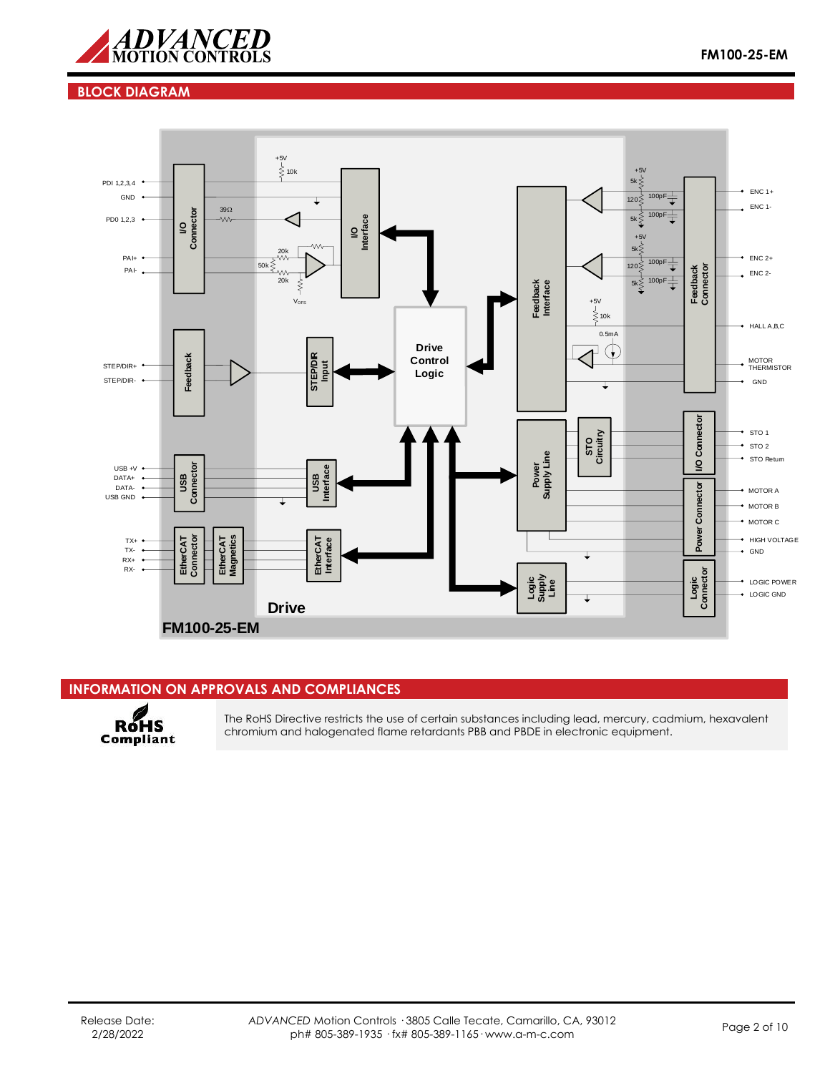

## **BLOCK DIAGRAM**



## **INFORMATION ON APPROVALS AND COMPLIANCES**



The RoHS Directive restricts the use of certain substances including lead, mercury, cadmium, hexavalent chromium and halogenated flame retardants PBB and PBDE in electronic equipment.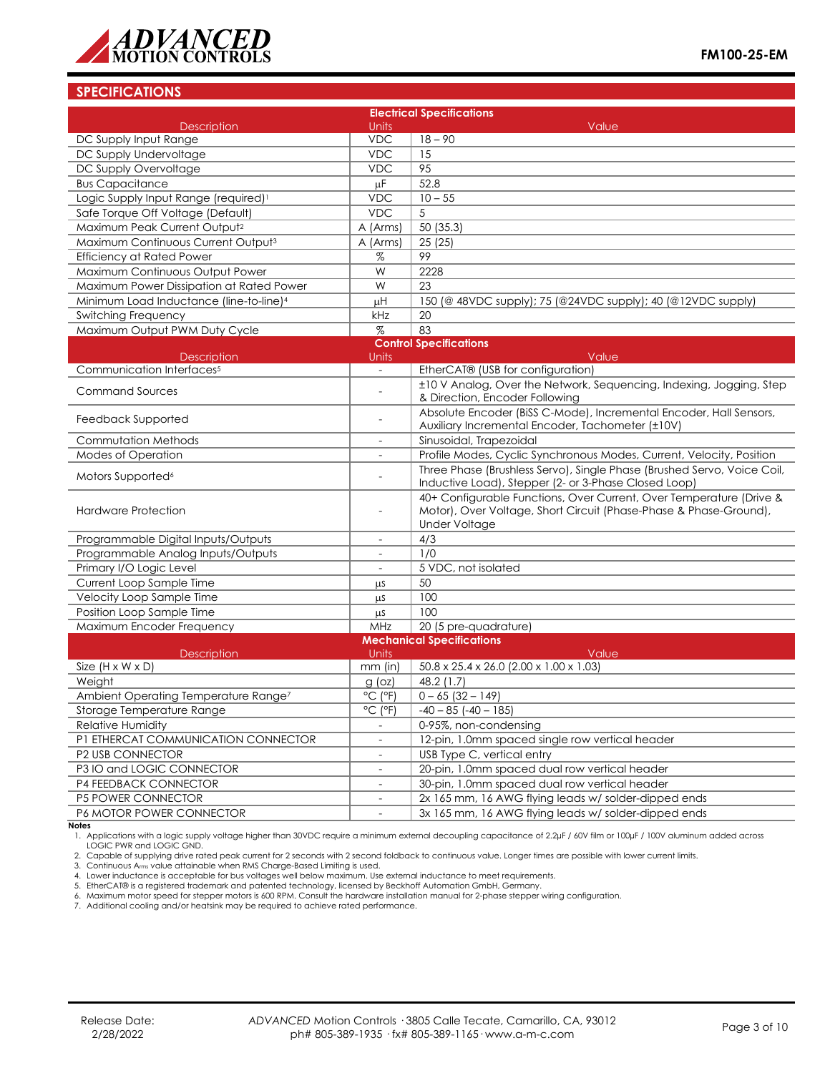

## **SPECIFICATIONS**

|                                                     |                                                                                                                                                                                                                                                                                                                                                                                                                                                                                                                              | <b>Electrical Specifications</b>                                                                                                                          |
|-----------------------------------------------------|------------------------------------------------------------------------------------------------------------------------------------------------------------------------------------------------------------------------------------------------------------------------------------------------------------------------------------------------------------------------------------------------------------------------------------------------------------------------------------------------------------------------------|-----------------------------------------------------------------------------------------------------------------------------------------------------------|
| <b>Description</b>                                  | Units                                                                                                                                                                                                                                                                                                                                                                                                                                                                                                                        | Value                                                                                                                                                     |
| DC Supply Input Range                               | <b>VDC</b>                                                                                                                                                                                                                                                                                                                                                                                                                                                                                                                   | $18 - 90$                                                                                                                                                 |
| DC Supply Undervoltage                              | <b>VDC</b>                                                                                                                                                                                                                                                                                                                                                                                                                                                                                                                   | 15                                                                                                                                                        |
| DC Supply Overvoltage                               | <b>VDC</b>                                                                                                                                                                                                                                                                                                                                                                                                                                                                                                                   | 95                                                                                                                                                        |
| <b>Bus Capacitance</b>                              | μF                                                                                                                                                                                                                                                                                                                                                                                                                                                                                                                           | 52.8                                                                                                                                                      |
| Logic Supply Input Range (required) <sup>1</sup>    | <b>VDC</b>                                                                                                                                                                                                                                                                                                                                                                                                                                                                                                                   | $10 - 55$                                                                                                                                                 |
| Safe Torque Off Voltage (Default)                   | <b>VDC</b>                                                                                                                                                                                                                                                                                                                                                                                                                                                                                                                   | 5                                                                                                                                                         |
| Maximum Peak Current Output <sup>2</sup>            | A (Arms)                                                                                                                                                                                                                                                                                                                                                                                                                                                                                                                     | 50 (35.3)                                                                                                                                                 |
| Maximum Continuous Current Output <sup>3</sup>      | A (Arms)                                                                                                                                                                                                                                                                                                                                                                                                                                                                                                                     | 25(25)                                                                                                                                                    |
| <b>Efficiency at Rated Power</b>                    | $% \mathcal{L}_{\mathrm{H}}\times\mathcal{H}_{\mathrm{H}}\times\mathcal{H}_{\mathrm{H}}\times\mathcal{H}_{\mathrm{H}}\times\mathcal{H}_{\mathrm{H}}\times\mathcal{H}_{\mathrm{H}}\times\mathcal{H}_{\mathrm{H}}\times\mathcal{H}_{\mathrm{H}}\times\mathcal{H}_{\mathrm{H}}\times\mathcal{H}_{\mathrm{H}}\times\mathcal{H}_{\mathrm{H}}\times\mathcal{H}_{\mathrm{H}}\times\mathcal{H}_{\mathrm{H}}\times\mathcal{H}_{\mathrm{H}}\times\mathcal{H}_{\mathrm{H}}\times\mathcal{H}_{\mathrm{H}}\times\mathcal{H}_{\mathrm{H}}$ | 99                                                                                                                                                        |
| Maximum Continuous Output Power                     | W                                                                                                                                                                                                                                                                                                                                                                                                                                                                                                                            | 2228                                                                                                                                                      |
| Maximum Power Dissipation at Rated Power            | W                                                                                                                                                                                                                                                                                                                                                                                                                                                                                                                            | 23                                                                                                                                                        |
| Minimum Load Inductance (line-to-line) <sup>4</sup> | μH                                                                                                                                                                                                                                                                                                                                                                                                                                                                                                                           | 150 (@ 48VDC supply); 75 (@24VDC supply); 40 (@12VDC supply)                                                                                              |
| Switching Frequency                                 | kHz                                                                                                                                                                                                                                                                                                                                                                                                                                                                                                                          | 20                                                                                                                                                        |
| Maximum Output PWM Duty Cycle                       | $\%$                                                                                                                                                                                                                                                                                                                                                                                                                                                                                                                         | 83                                                                                                                                                        |
|                                                     |                                                                                                                                                                                                                                                                                                                                                                                                                                                                                                                              | <b>Control Specifications</b>                                                                                                                             |
| <b>Description</b>                                  | Units                                                                                                                                                                                                                                                                                                                                                                                                                                                                                                                        | Value                                                                                                                                                     |
| Communication Interfaces <sup>5</sup>               | $\overline{\phantom{a}}$                                                                                                                                                                                                                                                                                                                                                                                                                                                                                                     | EtherCAT® (USB for configuration)                                                                                                                         |
| <b>Command Sources</b>                              |                                                                                                                                                                                                                                                                                                                                                                                                                                                                                                                              | ±10 V Analog, Over the Network, Sequencing, Indexing, Jogging, Step<br>& Direction, Encoder Following                                                     |
| Feedback Supported                                  |                                                                                                                                                                                                                                                                                                                                                                                                                                                                                                                              | Absolute Encoder (BiSS C-Mode), Incremental Encoder, Hall Sensors,                                                                                        |
|                                                     |                                                                                                                                                                                                                                                                                                                                                                                                                                                                                                                              | Auxiliary Incremental Encoder, Tachometer (±10V)                                                                                                          |
| Commutation Methods                                 | $\overline{\phantom{a}}$                                                                                                                                                                                                                                                                                                                                                                                                                                                                                                     | Sinusoidal, Trapezoidal                                                                                                                                   |
| Modes of Operation                                  |                                                                                                                                                                                                                                                                                                                                                                                                                                                                                                                              | Profile Modes, Cyclic Synchronous Modes, Current, Velocity, Position                                                                                      |
| Motors Supported <sup>6</sup>                       | $\overline{a}$                                                                                                                                                                                                                                                                                                                                                                                                                                                                                                               | Three Phase (Brushless Servo), Single Phase (Brushed Servo, Voice Coil,<br>Inductive Load), Stepper (2- or 3-Phase Closed Loop)                           |
| Hardware Protection                                 | $\overline{a}$                                                                                                                                                                                                                                                                                                                                                                                                                                                                                                               | 40+ Configurable Functions, Over Current, Over Temperature (Drive &<br>Motor), Over Voltage, Short Circuit (Phase-Phase & Phase-Ground),<br>Under Voltage |
| Programmable Digital Inputs/Outputs                 | $\overline{a}$                                                                                                                                                                                                                                                                                                                                                                                                                                                                                                               | 4/3                                                                                                                                                       |
| Programmable Analog Inputs/Outputs                  |                                                                                                                                                                                                                                                                                                                                                                                                                                                                                                                              | 1/0                                                                                                                                                       |
| Primary I/O Logic Level                             | $\overline{\phantom{a}}$                                                                                                                                                                                                                                                                                                                                                                                                                                                                                                     | 5 VDC, not isolated                                                                                                                                       |
| Current Loop Sample Time                            | μS                                                                                                                                                                                                                                                                                                                                                                                                                                                                                                                           | 50                                                                                                                                                        |
| Velocity Loop Sample Time                           | μS                                                                                                                                                                                                                                                                                                                                                                                                                                                                                                                           | 100                                                                                                                                                       |
| Position Loop Sample Time                           | μS                                                                                                                                                                                                                                                                                                                                                                                                                                                                                                                           | 100                                                                                                                                                       |
| Maximum Encoder Frequency                           | MHz                                                                                                                                                                                                                                                                                                                                                                                                                                                                                                                          | 20 (5 pre-quadrature)                                                                                                                                     |
|                                                     |                                                                                                                                                                                                                                                                                                                                                                                                                                                                                                                              | <b>Mechanical Specifications</b>                                                                                                                          |
| Description                                         | Units                                                                                                                                                                                                                                                                                                                                                                                                                                                                                                                        | Value                                                                                                                                                     |
| Size $(H \times W \times D)$                        | $mm$ (in)                                                                                                                                                                                                                                                                                                                                                                                                                                                                                                                    | $50.8 \times 25.4 \times 26.0$ (2.00 $\times$ 1.00 $\times$ 1.03)                                                                                         |
| Weight                                              | $g$ (oz)                                                                                                                                                                                                                                                                                                                                                                                                                                                                                                                     | 48.2 (1.7)                                                                                                                                                |
| Ambient Operating Temperature Range <sup>7</sup>    | $^{\circ}$ C ( $^{\circ}$ F)                                                                                                                                                                                                                                                                                                                                                                                                                                                                                                 | $0 - 65$ (32 - 149)                                                                                                                                       |
| Storage Temperature Range                           | °C (°F)                                                                                                                                                                                                                                                                                                                                                                                                                                                                                                                      | -40 – 85 (-40 – 185)                                                                                                                                      |
| Relative Humidity                                   |                                                                                                                                                                                                                                                                                                                                                                                                                                                                                                                              | 0-95%, non-condensing                                                                                                                                     |
| P1 ETHERCAT COMMUNICATION CONNECTOR                 |                                                                                                                                                                                                                                                                                                                                                                                                                                                                                                                              | 12-pin, 1.0mm spaced single row vertical header                                                                                                           |
| P2 USB CONNECTOR                                    | $\overline{\phantom{a}}$                                                                                                                                                                                                                                                                                                                                                                                                                                                                                                     | USB Type C, vertical entry                                                                                                                                |
| P3 IO and LOGIC CONNECTOR                           | $\equiv$                                                                                                                                                                                                                                                                                                                                                                                                                                                                                                                     | 20-pin, 1.0mm spaced dual row vertical header                                                                                                             |
| <b>P4 FEEDBACK CONNECTOR</b>                        | $\equiv$                                                                                                                                                                                                                                                                                                                                                                                                                                                                                                                     | 30-pin, 1.0mm spaced dual row vertical header                                                                                                             |
| <b>P5 POWER CONNECTOR</b>                           | $\overline{\phantom{a}}$                                                                                                                                                                                                                                                                                                                                                                                                                                                                                                     | 2x 165 mm, 16 AWG flying leads w/ solder-dipped ends                                                                                                      |
| P6 MOTOR POWER CONNECTOR                            |                                                                                                                                                                                                                                                                                                                                                                                                                                                                                                                              | 3x 165 mm, 16 AWG flying leads w/ solder-dipped ends                                                                                                      |

**Notes**

1. Applications with a logic supply voltage higher than 30VDC require a minimum external decoupling capacitance of 2.2µF / 60V film or 100µF / 100V aluminum added across LOGIC PWR and LOGIC GND.

2. Capable of supplying drive rated peak current for 2 seconds with 2 second foldback to continuous value. Longer times are possible with lower current limits.<br>3. Continuous A<sub>rms</sub> value attainable when RMS Charge-Based L

4. Lower inductance is acceptable for bus voltages well below maximum. Use external inductance to meet requirements.

5. EtherCAT® is a registered trademark and patented technology, licensed by Beckhoff Automation GmbH, Germany.

6. Maximum motor speed for stepper motors is 600 RPM. Consult the hardware installation manual for 2-phase stepper wiring configuration.<br>7. Additional cooling and/or heatsink may be required to achieve rated performance.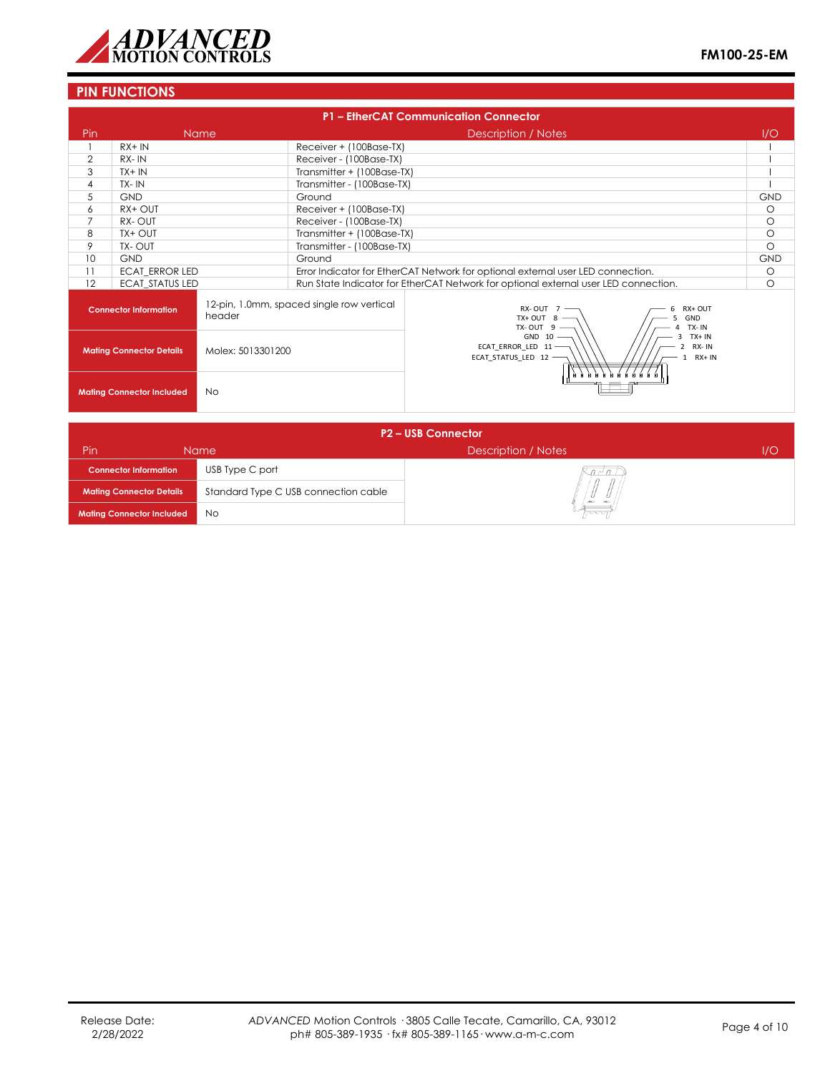

## **PIN FUNCTIONS**

|                                               | P1 - EtherCAT Communication Connector                                               |                   |                            |                                                                                             |            |  |
|-----------------------------------------------|-------------------------------------------------------------------------------------|-------------------|----------------------------|---------------------------------------------------------------------------------------------|------------|--|
| Pin                                           |                                                                                     | <b>Name</b>       |                            | Description / Notes                                                                         | 1/O        |  |
|                                               | $RX + IN$                                                                           |                   | Receiver + (100Base-TX)    |                                                                                             |            |  |
| $\overline{2}$                                | RX-IN                                                                               |                   | Receiver - (100Base-TX)    |                                                                                             |            |  |
| 3                                             | $TX + IN$                                                                           |                   | Transmitter + (100Base-TX) |                                                                                             |            |  |
| $\overline{4}$                                | TX-IN                                                                               |                   | Transmitter - (100Base-TX) |                                                                                             |            |  |
| 5                                             | <b>GND</b>                                                                          |                   | Ground                     |                                                                                             | <b>GND</b> |  |
| 6                                             | RX+ OUT                                                                             |                   | Receiver + (100Base-TX)    |                                                                                             | $\circ$    |  |
| 7                                             | RX-OUT                                                                              |                   | Receiver - (100Base-TX)    |                                                                                             | $\circ$    |  |
| 8                                             | TX+ OUT                                                                             |                   | Transmitter + (100Base-TX) |                                                                                             | $\circ$    |  |
| 9                                             | TX-OUT                                                                              |                   | Transmitter - (100Base-TX) |                                                                                             | $\Omega$   |  |
| 10                                            | <b>GND</b>                                                                          |                   | Ground                     |                                                                                             | <b>GND</b> |  |
| 11                                            | ECAT ERROR LED                                                                      |                   |                            | Error Indicator for EtherCAT Network for optional external user LED connection.             | $\circ$    |  |
| 12                                            | <b>ECAT STATUS LED</b>                                                              |                   |                            | Run State Indicator for EtherCAT Network for optional external user LED connection.         | $\circ$    |  |
|                                               | 12-pin, 1.0mm, spaced single row vertical<br><b>Connector Information</b><br>header |                   |                            | RX-OUT $7 -$<br>RX+ OUT<br>$TX+OUT$ 8 -<br>GND<br>TX-OUT $9 -$<br>TX-IN                     |            |  |
| <b>Mating Connector Details</b>               |                                                                                     | Molex: 5013301200 |                            | $GND 10 -$<br>$TX + IN$<br>ECAT ERROR LED 11-<br>RX-IN<br>ECAT STATUS LED 12 -<br>$RX + IN$ |            |  |
| <b>Mating Connector Included</b><br><b>No</b> |                                                                                     |                   |                            |                                                                                             |            |  |

| <b>P2-USB Connector</b>          |                                      |                     |     |  |  |
|----------------------------------|--------------------------------------|---------------------|-----|--|--|
| Pin                              | Name                                 | Description / Notes | 1/O |  |  |
| <b>Connector Information</b>     | USB Type C port                      | $n \sim n$          |     |  |  |
| <b>Mating Connector Details</b>  | Standard Type C USB connection cable | CRECT               |     |  |  |
| <b>Mating Connector Included</b> | No                                   | haan                |     |  |  |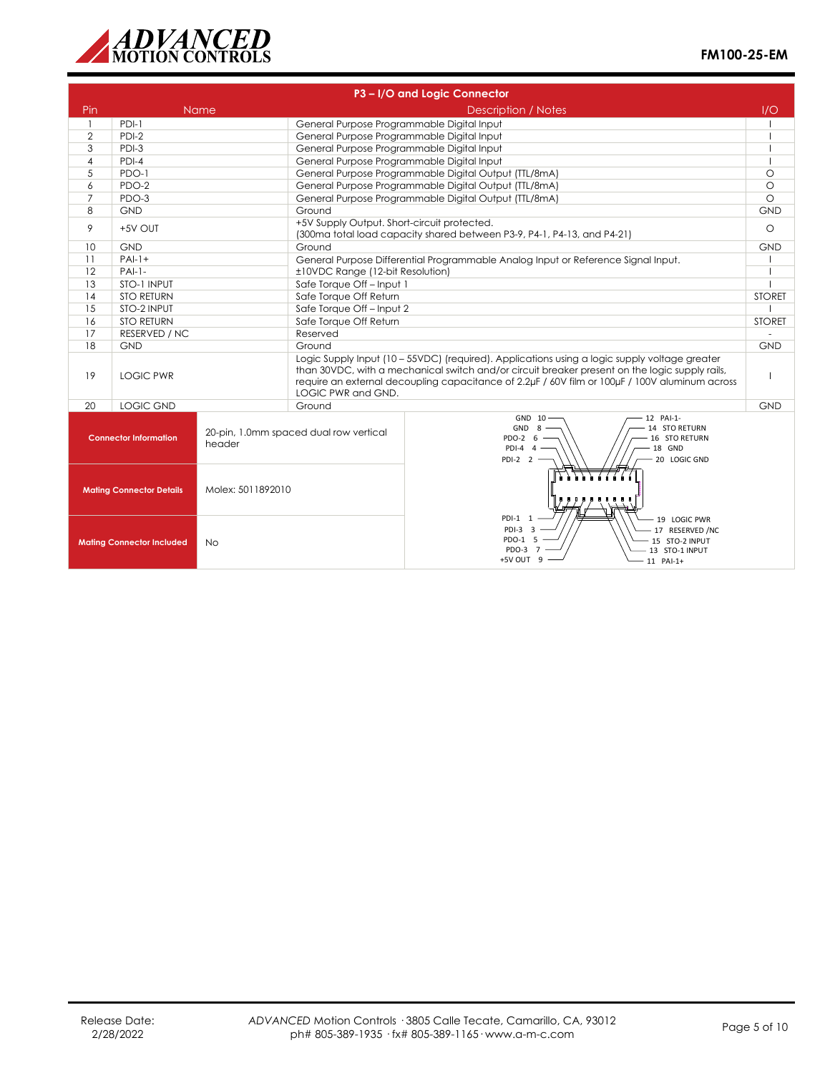

| P3-I/O and Logic Connector                           |                                                                                  |             |                                                                                                                                                                                                                                                                                                                         |                                                                                                                             |               |
|------------------------------------------------------|----------------------------------------------------------------------------------|-------------|-------------------------------------------------------------------------------------------------------------------------------------------------------------------------------------------------------------------------------------------------------------------------------------------------------------------------|-----------------------------------------------------------------------------------------------------------------------------|---------------|
| Pin                                                  |                                                                                  | <b>Name</b> | <b>Description / Notes</b>                                                                                                                                                                                                                                                                                              |                                                                                                                             | 1/O           |
| $\mathbf{1}$                                         | PDI-1                                                                            |             | General Purpose Programmable Digital Input                                                                                                                                                                                                                                                                              |                                                                                                                             |               |
| $\overline{2}$                                       | PDI-2                                                                            |             | General Purpose Programmable Digital Input                                                                                                                                                                                                                                                                              |                                                                                                                             |               |
| 3                                                    | PDI-3                                                                            |             | General Purpose Programmable Digital Input                                                                                                                                                                                                                                                                              |                                                                                                                             |               |
| $\overline{4}$                                       | $PDI-4$                                                                          |             | General Purpose Programmable Digital Input                                                                                                                                                                                                                                                                              |                                                                                                                             |               |
| 5                                                    | PDO-1                                                                            |             |                                                                                                                                                                                                                                                                                                                         | General Purpose Programmable Digital Output (TTL/8mA)                                                                       | $\circ$       |
| 6                                                    | PDO-2                                                                            |             |                                                                                                                                                                                                                                                                                                                         | General Purpose Programmable Digital Output (TTL/8mA)                                                                       | $\circ$       |
| $\overline{7}$                                       | PDO-3                                                                            |             |                                                                                                                                                                                                                                                                                                                         | General Purpose Programmable Digital Output (TTL/8mA)                                                                       | $\circ$       |
| 8                                                    | <b>GND</b>                                                                       |             | Ground                                                                                                                                                                                                                                                                                                                  |                                                                                                                             | <b>GND</b>    |
| 9                                                    | +5V OUT                                                                          |             | +5V Supply Output. Short-circuit protected.                                                                                                                                                                                                                                                                             | (300ma total load capacity shared between P3-9, P4-1, P4-13, and P4-21)                                                     | $\circ$       |
| 10                                                   | <b>GND</b>                                                                       |             | Ground                                                                                                                                                                                                                                                                                                                  |                                                                                                                             | <b>GND</b>    |
| 11                                                   | $PAI-1+$                                                                         |             |                                                                                                                                                                                                                                                                                                                         | General Purpose Differential Programmable Analog Input or Reference Signal Input.                                           |               |
| 12                                                   | $PAI-1-$                                                                         |             | ±10VDC Range (12-bit Resolution)                                                                                                                                                                                                                                                                                        |                                                                                                                             |               |
| 13                                                   | STO-1 INPUT                                                                      |             | Safe Torque Off - Input 1                                                                                                                                                                                                                                                                                               |                                                                                                                             |               |
| 14                                                   | <b>STO RETURN</b>                                                                |             | Safe Torque Off Return                                                                                                                                                                                                                                                                                                  |                                                                                                                             | <b>STORET</b> |
| 15                                                   | STO-2 INPUT                                                                      |             | Safe Torque Off-Input 2                                                                                                                                                                                                                                                                                                 |                                                                                                                             |               |
| 16                                                   | <b>STO RETURN</b>                                                                |             | Safe Torque Off Return                                                                                                                                                                                                                                                                                                  |                                                                                                                             | <b>STORET</b> |
| 17                                                   | RESERVED / NC                                                                    |             | Reserved                                                                                                                                                                                                                                                                                                                |                                                                                                                             | ÷             |
|                                                      | 18<br><b>GND</b>                                                                 |             | Ground                                                                                                                                                                                                                                                                                                                  |                                                                                                                             | <b>GND</b>    |
| 19                                                   | <b>LOGIC PWR</b>                                                                 |             | Logic Supply Input (10 - 55VDC) (required). Applications using a logic supply voltage greater<br>than 30VDC, with a mechanical switch and/or circuit breaker present on the logic supply rails,<br>require an external decoupling capacitance of 2.2uF / 60V film or 100uF / 100V aluminum across<br>LOGIC PWR and GND. |                                                                                                                             |               |
| 20                                                   | <b>LOGIC GND</b>                                                                 |             | Ground                                                                                                                                                                                                                                                                                                                  |                                                                                                                             | <b>GND</b>    |
|                                                      | 20-pin, 1.0mm spaced dual row vertical<br><b>Connector Information</b><br>header |             |                                                                                                                                                                                                                                                                                                                         | GND 10<br>12 PAI-1-<br>GND 8<br>14 STO RETURN<br>PDO-2 6<br>16 STO RETURN<br>18 GND<br>$PDI-4$ 4<br>PDI-2 2<br>20 LOGIC GND |               |
| <b>Mating Connector Details</b><br>Molex: 5011892010 |                                                                                  |             |                                                                                                                                                                                                                                                                                                                         |                                                                                                                             |               |
| <b>Mating Connector Included</b><br><b>No</b>        |                                                                                  |             | PDI-1 1<br>19 LOGIC PWR<br>$PDI-3$ 3<br>17 RESERVED / NC<br>PDO-1 5<br>15 STO-2 INPUT<br>PDO-3 7<br>13 STO-1 INPUT<br>+5V OUT 9<br>11 PAI-1+                                                                                                                                                                            |                                                                                                                             |               |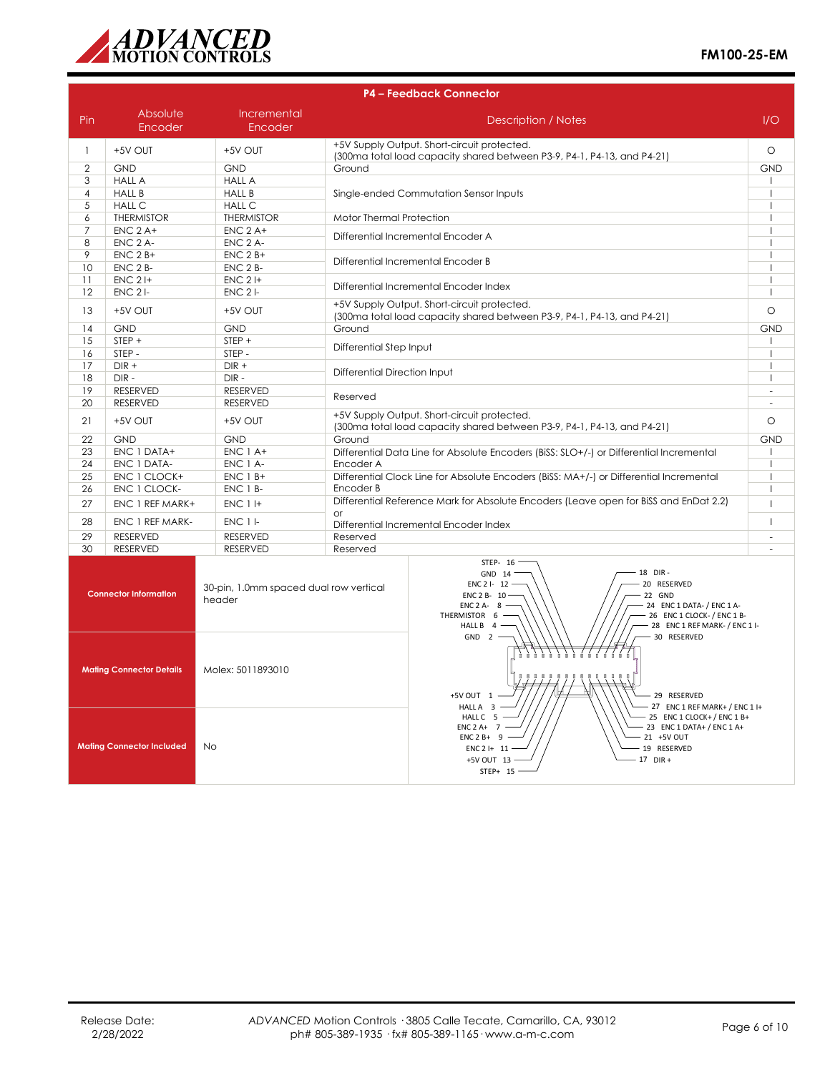

|                                                                                                       | <b>P4 - Feedback Connector</b> |                        |                                                                                                                                                                                                                                    |                                                                                                                                  |                                  |
|-------------------------------------------------------------------------------------------------------|--------------------------------|------------------------|------------------------------------------------------------------------------------------------------------------------------------------------------------------------------------------------------------------------------------|----------------------------------------------------------------------------------------------------------------------------------|----------------------------------|
| Pin                                                                                                   | Absolute<br>Encoder            | Incremental<br>Encoder |                                                                                                                                                                                                                                    | Description / Notes                                                                                                              | 1/O                              |
| $\mathbf{1}$                                                                                          | +5V OUT                        | +5V OUT                |                                                                                                                                                                                                                                    | +5V Supply Output. Short-circuit protected.<br>(300ma total load capacity shared between P3-9, P4-1, P4-13, and P4-21)           |                                  |
| 2                                                                                                     | <b>GND</b>                     | <b>GND</b>             | Ground                                                                                                                                                                                                                             |                                                                                                                                  | <b>GND</b>                       |
| 3                                                                                                     | <b>HALL A</b>                  | <b>HALL A</b>          |                                                                                                                                                                                                                                    |                                                                                                                                  | $\overline{1}$                   |
| $\overline{4}$                                                                                        | <b>HALL B</b>                  | <b>HALL B</b>          |                                                                                                                                                                                                                                    | Single-ended Commutation Sensor Inputs                                                                                           | $\overline{\phantom{a}}$         |
| 5                                                                                                     | <b>HALL C</b>                  | <b>HALL C</b>          |                                                                                                                                                                                                                                    |                                                                                                                                  | $\overline{\phantom{a}}$         |
| 6                                                                                                     | <b>THERMISTOR</b>              | <b>THERMISTOR</b>      | Motor Thermal Protection                                                                                                                                                                                                           |                                                                                                                                  | $\mathbf{I}$                     |
| $\overline{7}$                                                                                        | $ENC$ 2 A+                     | $ENC$ 2 A+             | Differential Incremental Encoder A                                                                                                                                                                                                 |                                                                                                                                  | $\overline{1}$                   |
| 8                                                                                                     | <b>ENC 2 A-</b>                | ENC 2 A-               |                                                                                                                                                                                                                                    |                                                                                                                                  | $\overline{1}$                   |
| 9                                                                                                     | $ENC$ 2 $B+$                   | $ENC$ 2 $B+$           |                                                                                                                                                                                                                                    | Differential Incremental Encoder B                                                                                               | $\overline{1}$                   |
| 10                                                                                                    | ENC 2 B-                       | ENC 2 B-               |                                                                                                                                                                                                                                    |                                                                                                                                  | $\overline{1}$                   |
| 11                                                                                                    | $ENC$ 2 $H$                    | <b>ENC 2 I+</b>        |                                                                                                                                                                                                                                    | Differential Incremental Encoder Index                                                                                           | $\overline{1}$                   |
| 12                                                                                                    | <b>ENC 21-</b>                 | $ENC$ 2 $I-$           |                                                                                                                                                                                                                                    |                                                                                                                                  | $\overline{1}$                   |
| 13                                                                                                    | +5V OUT                        | +5V OUT                |                                                                                                                                                                                                                                    | +5V Supply Output. Short-circuit protected.<br>(300ma total load capacity shared between P3-9, P4-1, P4-13, and P4-21)           | $\circ$                          |
| 14                                                                                                    | <b>GND</b>                     | <b>GND</b>             | Ground                                                                                                                                                                                                                             |                                                                                                                                  | <b>GND</b>                       |
| 15                                                                                                    | $STEP +$                       | STEP +                 | Differential Step Input                                                                                                                                                                                                            |                                                                                                                                  | $\mathsf{I}$                     |
| 16                                                                                                    | STEP -                         | STEP -                 |                                                                                                                                                                                                                                    |                                                                                                                                  | $\overline{1}$                   |
| 17                                                                                                    | $DIR +$                        | $DIR +$                | Differential Direction Input                                                                                                                                                                                                       |                                                                                                                                  | $\overline{1}$                   |
| 18                                                                                                    | $DIR -$                        | $DIR -$                |                                                                                                                                                                                                                                    |                                                                                                                                  | $\mathsf{I}$                     |
| 19                                                                                                    | RESERVED                       | <b>RESERVED</b>        | Reserved                                                                                                                                                                                                                           |                                                                                                                                  |                                  |
| 20                                                                                                    | <b>RESERVED</b>                | <b>RESERVED</b>        |                                                                                                                                                                                                                                    |                                                                                                                                  | J.                               |
| 21                                                                                                    | +5V OUT                        | +5V OUT                | +5V Supply Output. Short-circuit protected.<br>(300ma total load capacity shared between P3-9, P4-1, P4-13, and P4-21)                                                                                                             |                                                                                                                                  | $\circ$                          |
| 22                                                                                                    | <b>GND</b>                     | <b>GND</b>             | Ground                                                                                                                                                                                                                             |                                                                                                                                  | <b>GND</b>                       |
| 23                                                                                                    | ENC 1 DATA+                    | ENC 1 A+               |                                                                                                                                                                                                                                    | Differential Data Line for Absolute Encoders (BiSS: SLO+/-) or Differential Incremental                                          |                                  |
| 24                                                                                                    | ENC 1 DATA-                    | ENC 1 A-               | Encoder A                                                                                                                                                                                                                          |                                                                                                                                  | $\overline{1}$                   |
| 25                                                                                                    | ENC 1 CLOCK+                   | $ENC$ 1 $B+$           |                                                                                                                                                                                                                                    | Differential Clock Line for Absolute Encoders (BiSS: MA+/-) or Differential Incremental                                          | $\overline{1}$<br>$\overline{1}$ |
| 26                                                                                                    | ENC 1 CLOCK-                   | ENC 1 B-               | Encoder B                                                                                                                                                                                                                          | Differential Reference Mark for Absolute Encoders (Leave open for BiSS and EnDat 2.2)                                            |                                  |
| 27                                                                                                    | ENC 1 REF MARK+                | <b>ENC 1 I+</b>        | $\alpha$ r                                                                                                                                                                                                                         |                                                                                                                                  | $\overline{1}$<br>$\overline{1}$ |
| 28                                                                                                    | ENC 1 REF MARK-                | <b>ENC 1 I-</b>        |                                                                                                                                                                                                                                    | Differential Incremental Encoder Index                                                                                           |                                  |
| 29                                                                                                    | RESERVED                       | <b>RESERVED</b>        | Reserved                                                                                                                                                                                                                           |                                                                                                                                  | $\sim$                           |
| 30                                                                                                    | <b>RESERVED</b>                | <b>RESERVED</b>        | Reserved                                                                                                                                                                                                                           |                                                                                                                                  |                                  |
| 30-pin, 1.0mm spaced dual row vertical<br><b>Connector Information</b><br>header                      |                                |                        | STEP- 16<br>18 DIR-<br>GND 14<br>20 RESERVED<br>ENC 2 I- 12<br>ENC 2 B- 10<br>22 GND<br>ENC 2 A-8 -<br>24 ENC 1 DATA- / ENC 1 A-<br>THERMISTOR 6 -<br>26 ENC 1 CLOCK- / ENC 1 B-<br>- 28 ENC 1 REF MARK- / ENC 1 I-<br>HALL B $4-$ |                                                                                                                                  |                                  |
| <b>Mating Connector Details</b><br>Molex: 5011893010<br><b>Mating Connector Included</b><br><b>No</b> |                                |                        |                                                                                                                                                                                                                                    | - 30 RESERVED<br>$GND 2 -$<br>. <i>.</i> .<br>.<br><br>+5V OUT 1 ·<br>- 29 RESERVED<br>HALL A 3<br>27 ENC 1 REF MARK+ / ENC 1 I+ |                                  |
|                                                                                                       |                                |                        | 25 ENC 1 CLOCK+/ENC 1 B+<br>HALL C 5 -<br>$ENC 2 A+ 7$<br>23 ENC 1 DATA+ / ENC 1 A+<br>$ENC2B+ 9 -$<br>21 +5V OUT<br>19 RESERVED<br>ENC2H11<br>+5V OUT 13<br>17 DIR+<br>STEP+ 15                                                   |                                                                                                                                  |                                  |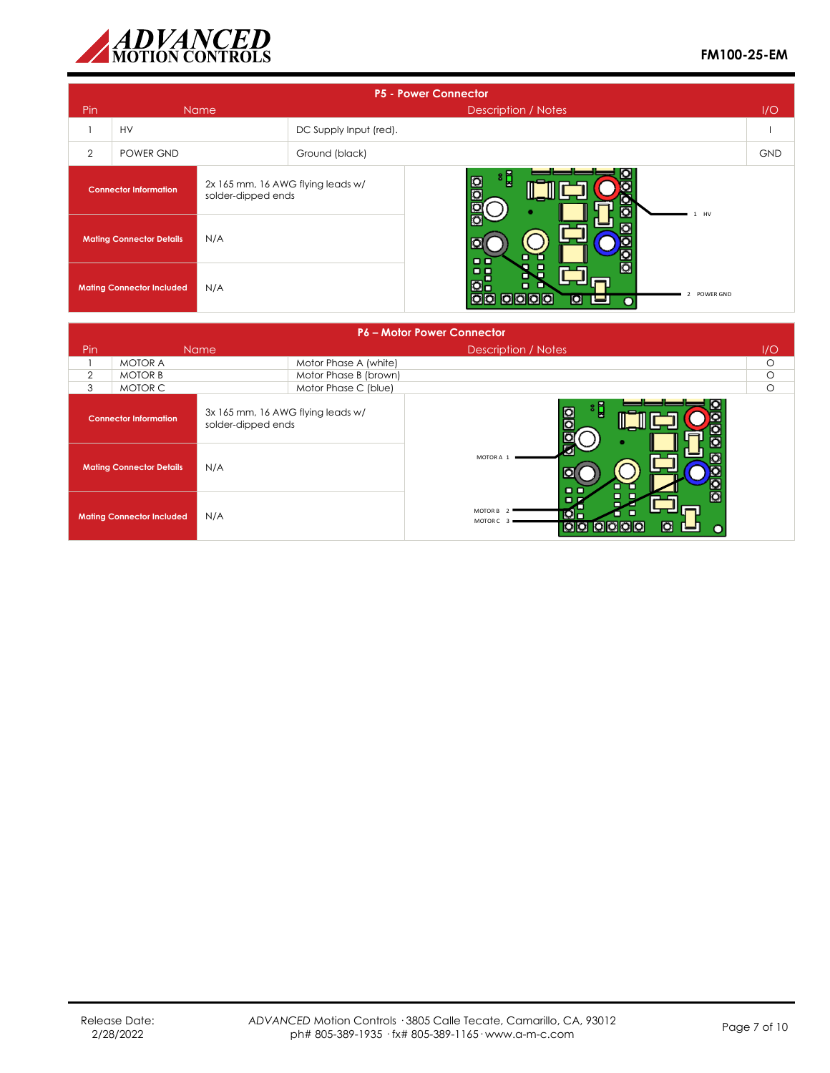

|                                         | <b>P5 - Power Connector</b>                                                             |             |                                                                           |                                 |            |  |  |
|-----------------------------------------|-----------------------------------------------------------------------------------------|-------------|---------------------------------------------------------------------------|---------------------------------|------------|--|--|
| Pin                                     |                                                                                         | <b>Name</b> |                                                                           | <b>Description / Notes</b>      | I/O        |  |  |
|                                         | <b>HV</b>                                                                               |             | DC Supply Input (red).                                                    |                                 |            |  |  |
| 2                                       | POWER GND                                                                               |             | Ground (black)                                                            |                                 | <b>GND</b> |  |  |
|                                         | 2x 165 mm, 16 AWG flying leads w/<br><b>Connector Information</b><br>solder-dipped ends |             |                                                                           | ៖ដ្ឋ<br>$\Omega$<br>Ō<br>$1$ HV |            |  |  |
|                                         | N/A<br><b>Mating Connector Details</b>                                                  |             |                                                                           | O<br>00                         |            |  |  |
| N/A<br><b>Mating Connector Included</b> |                                                                                         |             | 므ᄆ<br>mı<br><b>O</b> -<br>Ξ<br>. .<br>2 POWER GND<br>00 0000<br>O<br>ا کا |                                 |            |  |  |

|                | <b>P6 - Motor Power Connector</b>      |                                                         |                       |                                                                                     |         |  |  |
|----------------|----------------------------------------|---------------------------------------------------------|-----------------------|-------------------------------------------------------------------------------------|---------|--|--|
| Pin            |                                        | <b>Name</b>                                             |                       | Description / Notes                                                                 | 1/O     |  |  |
|                | <b>MOTOR A</b>                         |                                                         | Motor Phase A (white) |                                                                                     | $\circ$ |  |  |
| $\overline{2}$ | <b>MOTOR B</b>                         |                                                         | Motor Phase B (brown) |                                                                                     | $\circ$ |  |  |
| 3              | MOTOR C                                |                                                         | Motor Phase C (blue)  |                                                                                     | $\circ$ |  |  |
|                | <b>Connector Information</b>           | 3x 165 mm, 16 AWG flying leads w/<br>solder-dipped ends |                       | ៖ដ្ឋ<br>$\frac{1}{10}$<br>Ю                                                         |         |  |  |
|                | N/A<br><b>Mating Connector Details</b> |                                                         |                       | O<br>MOTOR A 1<br>$\Box$                                                            |         |  |  |
|                | <b>Mating Connector Included</b>       | N/A                                                     |                       | MOTOR B <sub>2</sub><br>$\circ$ .<br>п<br>MOTOR C<br>O<br><b>10 0</b><br><b>DOO</b> |         |  |  |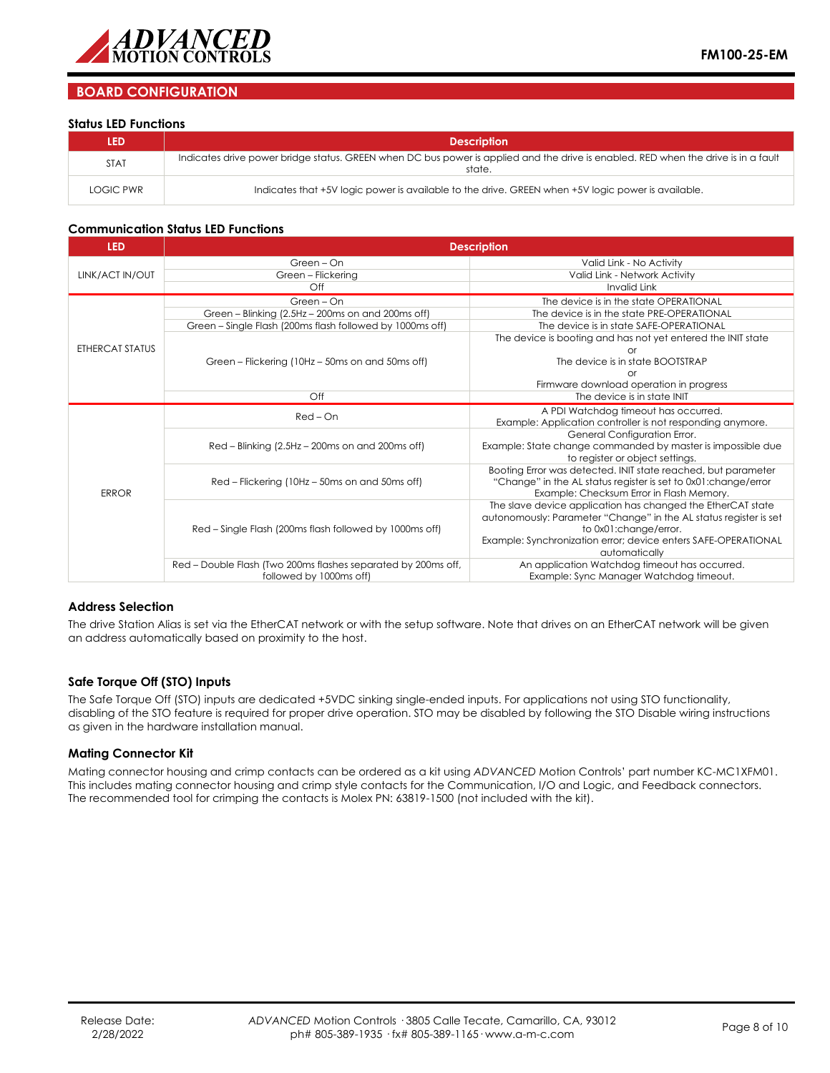

## **BOARD CONFIGURATION**

#### **Status LED Functions**

| <b>LED</b>  | <b>Description</b>                                                                                                                           |
|-------------|----------------------------------------------------------------------------------------------------------------------------------------------|
| <b>STAT</b> | Indicates drive power bridge status. GREEN when DC bus power is applied and the drive is enabled. RED when the drive is in a fault<br>state. |
| LOGIC PWR   | Indicates that +5V logic power is available to the drive. GREEN when +5V logic power is available.                                           |

#### **Communication Status LED Functions**

| <b>LED</b>      | <b>Description</b>                                            |                                                                   |  |  |  |  |  |
|-----------------|---------------------------------------------------------------|-------------------------------------------------------------------|--|--|--|--|--|
|                 | Green - On                                                    | Valid Link - No Activity                                          |  |  |  |  |  |
| LINK/ACT IN/OUT | Green - Flickering                                            | Valid Link - Network Activity                                     |  |  |  |  |  |
|                 | Off                                                           | <b>Invalid Link</b>                                               |  |  |  |  |  |
|                 | Green - On                                                    | The device is in the state OPERATIONAL                            |  |  |  |  |  |
|                 | Green - Blinking (2.5Hz - 200ms on and 200ms off)             | The device is in the state PRE-OPERATIONAL                        |  |  |  |  |  |
|                 | Green - Single Flash (200ms flash followed by 1000ms off)     | The device is in state SAFE-OPERATIONAL                           |  |  |  |  |  |
|                 |                                                               | The device is booting and has not yet entered the INIT state      |  |  |  |  |  |
| ETHERCAT STATUS |                                                               | n                                                                 |  |  |  |  |  |
|                 | Green – Flickering (10Hz – 50ms on and 50ms off)              | The device is in state BOOTSTRAP                                  |  |  |  |  |  |
|                 |                                                               |                                                                   |  |  |  |  |  |
|                 |                                                               | Firmware download operation in progress                           |  |  |  |  |  |
|                 | Off                                                           | The device is in state INIT                                       |  |  |  |  |  |
|                 | $Red$ – $On$                                                  | A PDI Watchdog timeout has occurred.                              |  |  |  |  |  |
|                 |                                                               | Example: Application controller is not responding anymore.        |  |  |  |  |  |
|                 |                                                               | General Configuration Error.                                      |  |  |  |  |  |
|                 | Red - Blinking (2.5Hz - 200ms on and 200ms off)               | Example: State change commanded by master is impossible due       |  |  |  |  |  |
|                 |                                                               | to register or object settings.                                   |  |  |  |  |  |
|                 |                                                               | Booting Error was detected. INIT state reached, but parameter     |  |  |  |  |  |
|                 | Red – Flickering (10Hz – 50ms on and 50ms off)                | "Change" in the AL status register is set to 0x01: change/error   |  |  |  |  |  |
| <b>ERROR</b>    |                                                               | Example: Checksum Error in Flash Memory.                          |  |  |  |  |  |
|                 |                                                               | The slave device application has changed the EtherCAT state       |  |  |  |  |  |
|                 |                                                               | autonomously: Parameter "Change" in the AL status register is set |  |  |  |  |  |
|                 | Red – Single Flash (200ms flash followed by 1000ms off)       | to 0x01:change/error.                                             |  |  |  |  |  |
|                 |                                                               | Example: Synchronization error; device enters SAFE-OPERATIONAL    |  |  |  |  |  |
|                 |                                                               | automatically                                                     |  |  |  |  |  |
|                 | Red - Double Flash (Two 200ms flashes separated by 200ms off, | An application Watchdog timeout has occurred.                     |  |  |  |  |  |
|                 | followed by 1000ms off)                                       | Example: Sync Manager Watchdog timeout.                           |  |  |  |  |  |

#### **Address Selection**

The drive Station Alias is set via the EtherCAT network or with the setup software. Note that drives on an EtherCAT network will be given an address automatically based on proximity to the host.

#### **Safe Torque Off (STO) Inputs**

The Safe Torque Off (STO) inputs are dedicated +5VDC sinking single-ended inputs. For applications not using STO functionality, disabling of the STO feature is required for proper drive operation. STO may be disabled by following the STO Disable wiring instructions as given in the hardware installation manual.

#### **Mating Connector Kit**

Mating connector housing and crimp contacts can be ordered as a kit using *ADVANCED* Motion Controls' part number KC-MC1XFM01. This includes mating connector housing and crimp style contacts for the Communication, I/O and Logic, and Feedback connectors. The recommended tool for crimping the contacts is Molex PN: 63819-1500 (not included with the kit).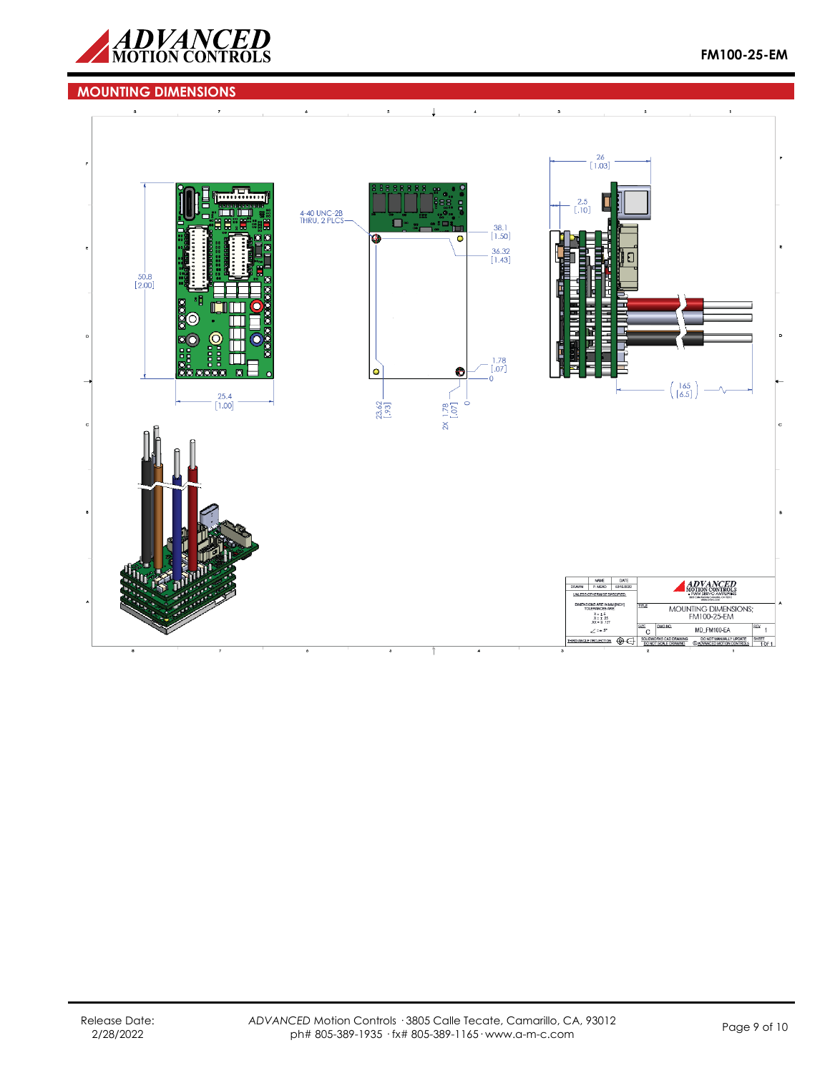

## **MOUNTING DIMENSIONS**